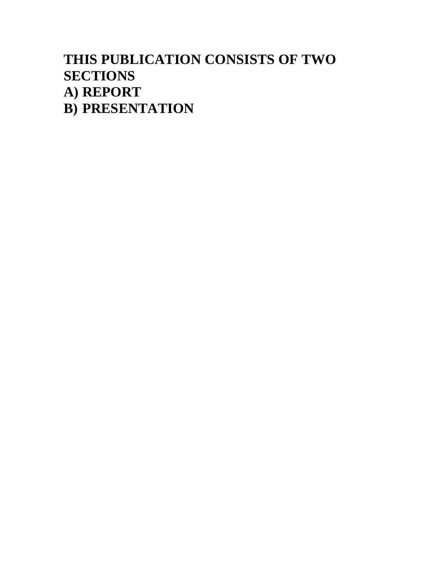#### **THIS PUBLICATION CONSISTS OF TWO SECTIONS A) REPORT B) PRESENTATION**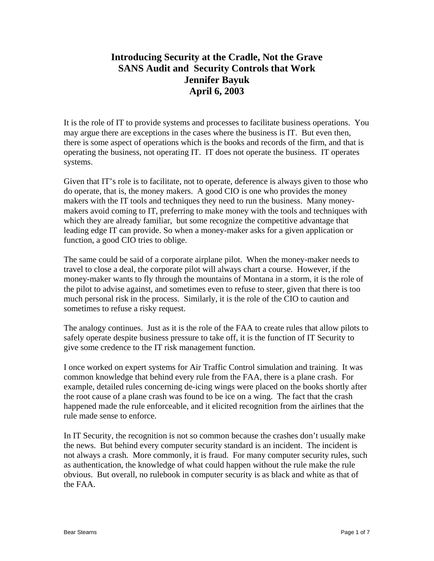#### **Introducing Security at the Cradle, Not the Grave SANS Audit and Security Controls that Work Jennifer Bayuk April 6, 2003**

It is the role of IT to provide systems and processes to facilitate business operations. You may argue there are exceptions in the cases where the business is IT. But even then, there is some aspect of operations which is the books and records of the firm, and that is operating the business, not operating IT. IT does not operate the business. IT operates systems.

Given that IT's role is to facilitate, not to operate, deference is always given to those who do operate, that is, the money makers. A good CIO is one who provides the money makers with the IT tools and techniques they need to run the business. Many moneymakers avoid coming to IT, preferring to make money with the tools and techniques with which they are already familiar, but some recognize the competitive advantage that leading edge IT can provide. So when a money-maker asks for a given application or function, a good CIO tries to oblige.

The same could be said of a corporate airplane pilot. When the money-maker needs to travel to close a deal, the corporate pilot will always chart a course. However, if the money-maker wants to fly through the mountains of Montana in a storm, it is the role of the pilot to advise against, and sometimes even to refuse to steer, given that there is too much personal risk in the process. Similarly, it is the role of the CIO to caution and sometimes to refuse a risky request.

The analogy continues. Just as it is the role of the FAA to create rules that allow pilots to safely operate despite business pressure to take off, it is the function of IT Security to give some credence to the IT risk management function.

I once worked on expert systems for Air Traffic Control simulation and training. It was common knowledge that behind every rule from the FAA, there is a plane crash. For example, detailed rules concerning de-icing wings were placed on the books shortly after the root cause of a plane crash was found to be ice on a wing. The fact that the crash happened made the rule enforceable, and it elicited recognition from the airlines that the rule made sense to enforce.

In IT Security, the recognition is not so common because the crashes don't usually make the news. But behind every computer security standard is an incident. The incident is not always a crash. More commonly, it is fraud. For many computer security rules, such as authentication, the knowledge of what could happen without the rule make the rule obvious. But overall, no rulebook in computer security is as black and white as that of the FAA.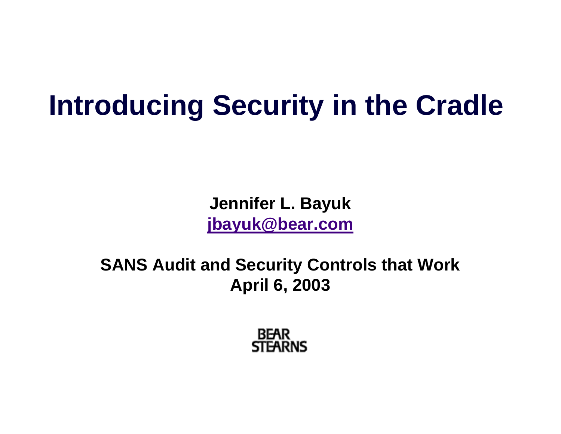## **Introducing Security in the Cradle**

**Jennifer L. Bayuk [jbayuk@bear.com](mailto:jbayuk@bear.com)**

**SANS Audit and Security Controls that Work April 6, 2003**

> **BEAR STEARNS**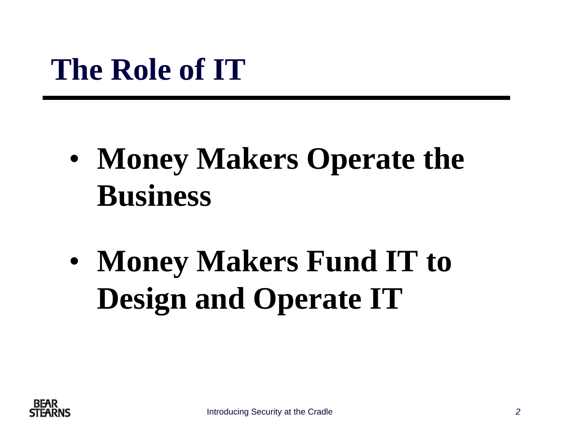## **The Role of IT**

- • **Money Makers Operate the Business**
- • **Money Makers Fund IT to Design and Operate IT**

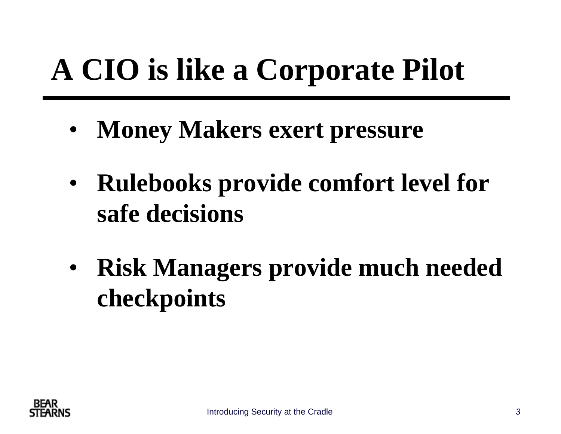# **A CIO is like a Corporate Pilot**

- •**Money Makers exert pressure**
- $\bullet$  **Rulebooks provide comfort level for safe decisions**
- $\bullet$  **Risk Managers provide much needed checkpoints**

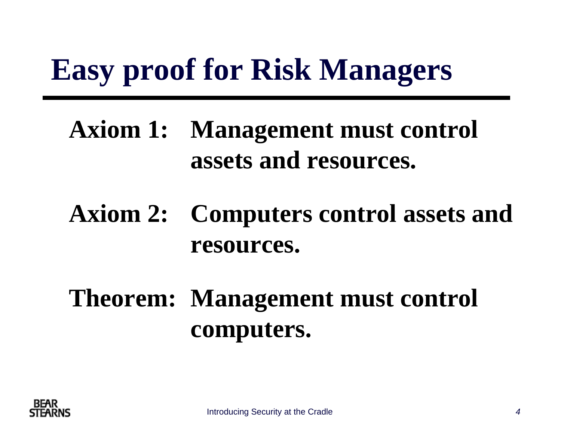## **Easy proof for Risk Managers**

#### **Axiom 1: Management must control assets and resources.**

#### **Axiom 2: Computers control assets and resources.**

### **Theorem: Management must control computers.**

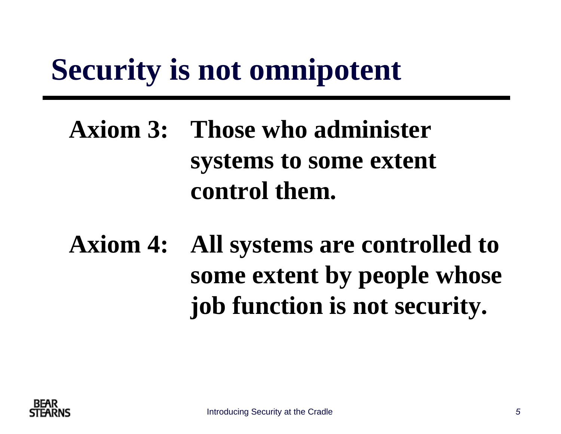## **Security is not omnipotent**

### **Axiom 3: Those who administer systems to some extent control them.**

## **Axiom 4: All systems are controlled to some extent by people whose job function is not security.**

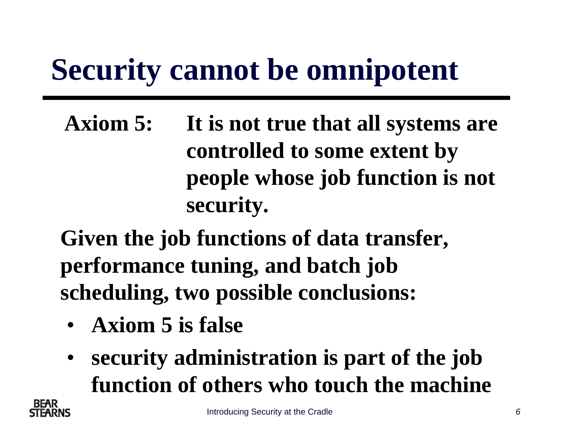## **Security cannot be omnipotent**

**Axiom 5: It is not true that all systems are controlled to some extent by people whose job function is not security.**

**Given the job functions of data transfer, performance tuning, and batch job scheduling, two possible conclusions:**

- **Axiom 5 is false**
- • **security administration is part of the job function of others who touch the machine**

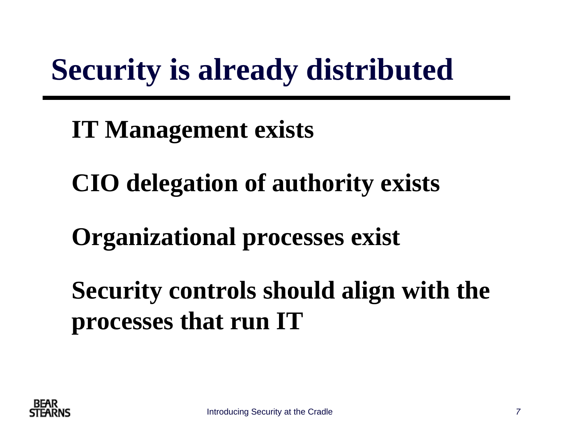## **Security is already distributed**

#### **IT Management exists**

### **CIO delegation of authority exists**

#### **Organizational processes exist**

### **Security controls should align with the processes that run IT**

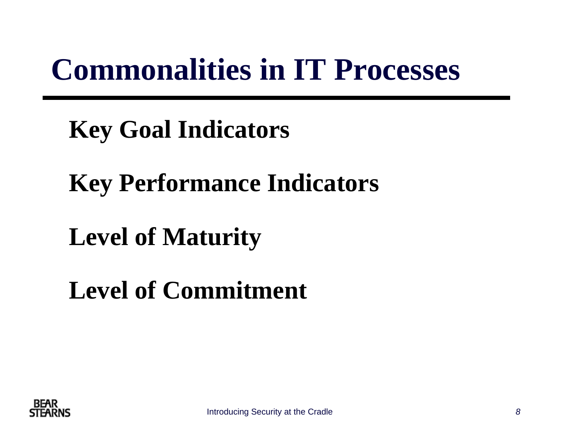## **Commonalities in IT Processes**

#### **Key Goal Indicators**

### **Key Performance Indicators**

#### **Level of Maturity**

### **Level of Commitment**

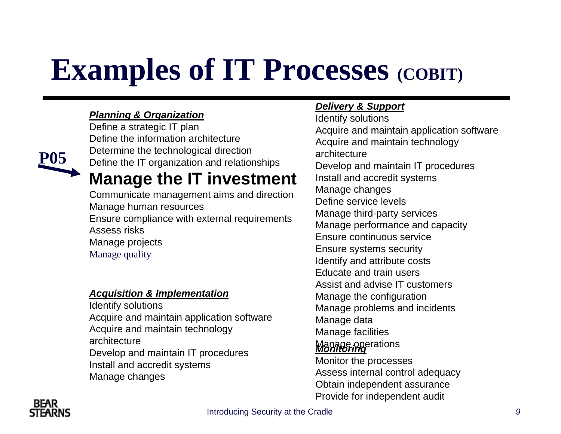## **Examples of IT Processes (COBIT)**

#### *Planning & Organization*

Define a strategic IT plan Define the information architecture Determine the technological direction Define the IT organization and relationships **Manage the IT investment**

Communicate management aims and direction Manage human resources Ensure compliance with external requirements Assess risksManage projects Manage quality

#### *Acquisition & Implementation*

Identify solutions Acquire and maintain application software Acquire and maintain technology architectureDevelop and maintain IT procedures Install and accredit systems Manage changes

#### *Delivery & Support*

Identify solutions Acquire and maintain application software Acquire and maintain technology architectureDevelop and maintain IT procedures Install and accredit systems Manage changes Define service levelsManage third-party services Manage performance and capacity Ensure continuous serviceEnsure systems security Identify and attribute costs Educate and train usersAssist and advise IT customersManage the configuration Manage problems and incidents Manage data Manage facilities Manage operations *Monitoring* Monitor the processes Assess internal control adequacy Obtain independent assurance Provide for independent audit



**P05**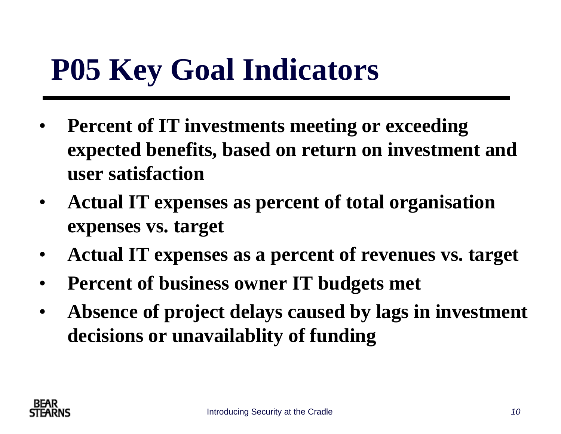## **P05 Key Goal Indicators**

- $\bullet$  **Percent of IT investments meeting or exceeding expected benefits, based on return on investment and user satisfaction**
- $\bullet$  **Actual IT expenses as percent of total organisation expenses vs. target**
- $\bullet$ **Actual IT expenses as a percent of revenues vs. target**
- $\bullet$ **Percent of business owner IT budgets met**
- $\bullet$  **Absence of project delays caused by lags in investment decisions or unavailablity of funding**

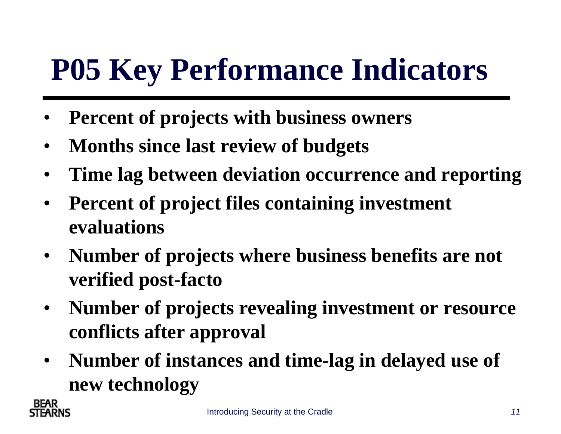## **P05 Key Performance Indicators**

- •**Percent of projects with business owners**
- •**Months since last review of budgets**
- $\bullet$ **Time lag between deviation occurrence and reporting**
- $\bullet$  **Percent of project files containing investment evaluations**
- $\bullet$  **Number of projects where business benefits are not verified post-facto**
- $\bullet$  **Number of projects revealing investment or resource conflicts after approval**
- $\bullet$  **Number of instances and time-lag in delayed use of new technology**

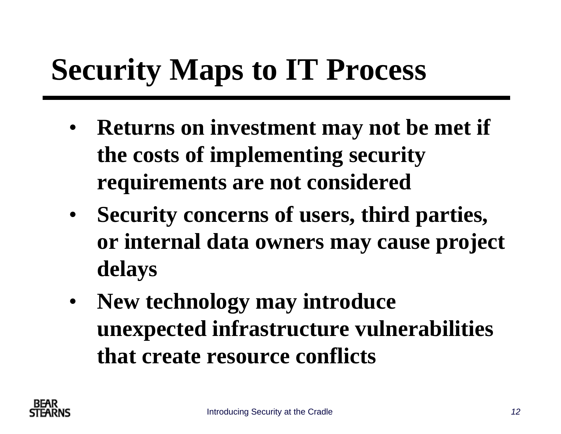## **Security Maps to IT Process**

- **Returns on investment may not be met if the costs of implementing security requirements are not considered**
- **Security concerns of users, third parties, or internal data owners may cause project delays**
- $\bullet$  **New technology may introduce unexpected infrastructure vulnerabilities that create resource conflicts**

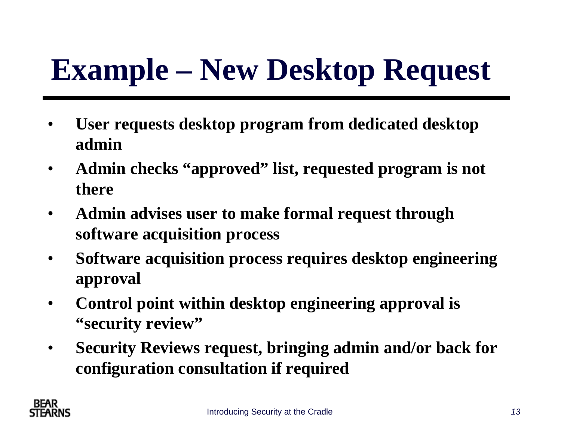# **Example – New Desktop Request**

- • **User requests desktop program from dedicated desktop admin**
- $\bullet$  **Admin checks "approved" list, requested program is not there**
- $\bullet$  **Admin advises user to make formal request through software acquisition process**
- $\bullet$  **Software acquisition process requires desktop engineering approval**
- $\bullet$  **Control point within desktop engineering approval is "security review"**
- $\bullet$  **Security Reviews request, bringing admin and/or back for configuration consultation if required**

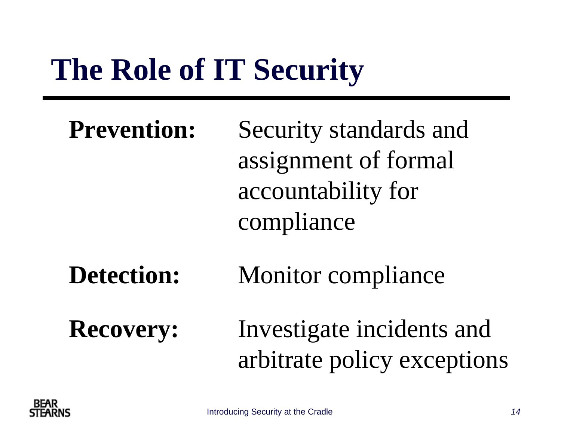## **The Role of IT Security**

| <b>Prevention:</b> | Security standards and |
|--------------------|------------------------|
|                    | assignment of formal   |
|                    | accountability for     |
|                    | compliance             |
|                    |                        |

#### **Detection:** Monitor compliance

**Recovery:** Investigate incidents and arbitrate policy exceptions

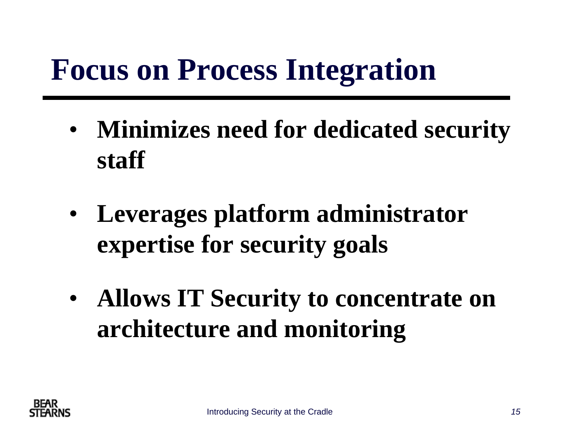## **Focus on Process Integration**

- • **Minimizes need for dedicated security staff**
- • **Leverages platform administrator expertise for security goals**
- • **Allows IT Security to concentrate on architecture and monitoring**

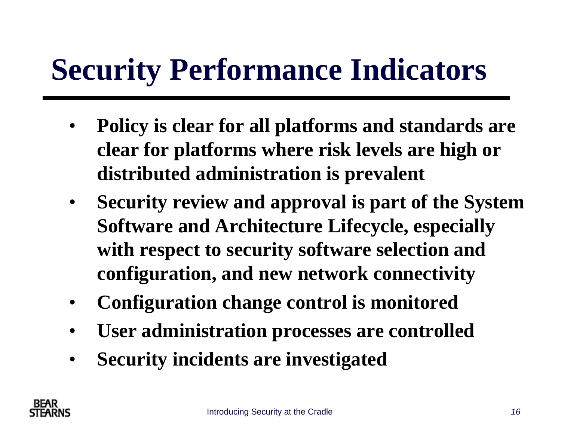## **Security Performance Indicators**

- $\bullet$  **Policy is clear for all platforms and standards are clear for platforms where risk levels are high or distributed administration is prevalent**
- $\bullet$  **Security review and approval is part of the System Software and Architecture Lifecycle, especially with respect to security software selection and configuration, and new network connectivity**
- •**Configuration change control is monitored**
- •**User administration processes are controlled**
- •**Security incidents are investigated**

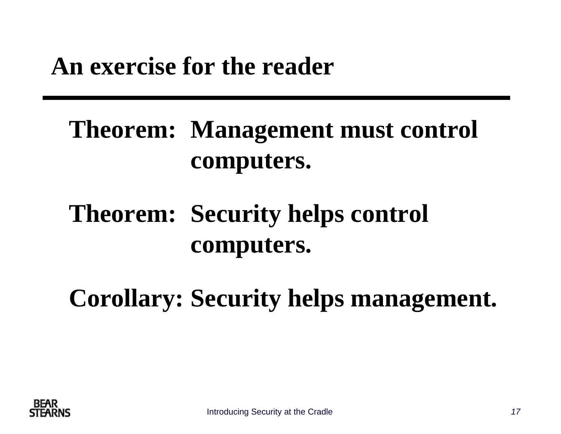#### **An exercise for the reader**

#### **Theorem: Management must control computers.**

#### **Theorem: Security helps control computers.**

**Corollary: Security helps management.**

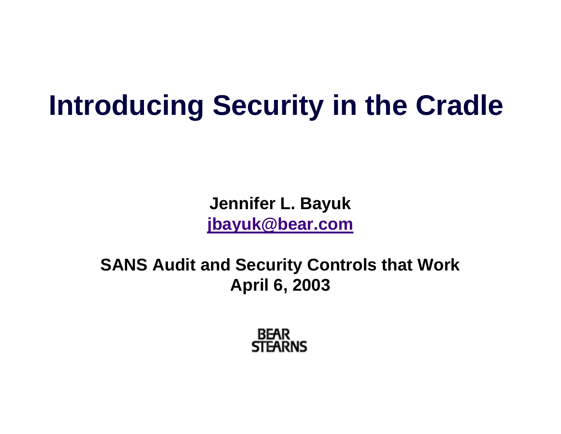## **Introducing Security in the Cradle**

**Jennifer L. Bayuk [jbayuk@bear.com](mailto:jbayuk@bear.com)**

**SANS Audit and Security Controls that Work April 6, 2003**

> **BEAR STEARNS**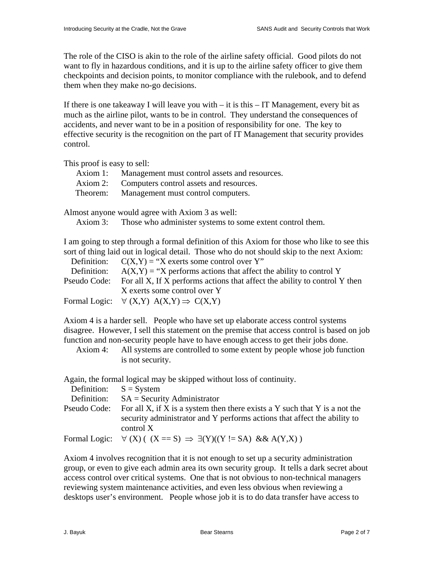The role of the CISO is akin to the role of the airline safety official. Good pilots do not want to fly in hazardous conditions, and it is up to the airline safety officer to give them checkpoints and decision points, to monitor compliance with the rulebook, and to defend them when they make no-go decisions.

If there is one takeaway I will leave you with  $-$  it is this  $-$  IT Management, every bit as much as the airline pilot, wants to be in control. They understand the consequences of accidents, and never want to be in a position of responsibility for one. The key to effective security is the recognition on the part of IT Management that security provides control.

This proof is easy to sell:

| Axiom 1: | Management must control assets and resources. |
|----------|-----------------------------------------------|
| Axiom 2: | Computers control assets and resources.       |
| Theorem: | Management must control computers.            |

Almost anyone would agree with Axiom 3 as well:

Axiom 3: Those who administer systems to some extent control them.

I am going to step through a formal definition of this Axiom for those who like to see this sort of thing laid out in logical detail. Those who do not should skip to the next Axiom:

| Definition: $C(X,Y) = "X$ exerts some control over Y"                                   |
|-----------------------------------------------------------------------------------------|
| Definition: $A(X,Y) = "X$ performs actions that affect the ability to control Y         |
| Pseudo Code: For all X, If X performs actions that affect the ability to control Y then |
| X exerts some control over Y                                                            |
| Formal Logic: $\forall$ (X,Y) A(X,Y) $\Rightarrow$ C(X,Y)                               |

Axiom 4 is a harder sell. People who have set up elaborate access control systems disagree. However, I sell this statement on the premise that access control is based on job function and non-security people have to have enough access to get their jobs done.

 Axiom 4: All systems are controlled to some extent by people whose job function is not security.

Again, the formal logical may be skipped without loss of continuity.

| Definition: $S = System$ |                                                                                                                                                                     |
|--------------------------|---------------------------------------------------------------------------------------------------------------------------------------------------------------------|
|                          | Definition: $SA = Security$ Administrator                                                                                                                           |
| Pseudo Code:             | For all X, if X is a system then there exists a Y such that Y is a not the<br>security administrator and Y performs actions that affect the ability to<br>control X |
|                          | Formal Logic: $\forall$ (X) ( (X = S) $\Rightarrow$ $\exists$ (Y)((Y != SA) & & A(Y,X))                                                                             |

Axiom 4 involves recognition that it is not enough to set up a security administration group, or even to give each admin area its own security group. It tells a dark secret about access control over critical systems. One that is not obvious to non-technical managers reviewing system maintenance activities, and even less obvious when reviewing a desktops user's environment. People whose job it is to do data transfer have access to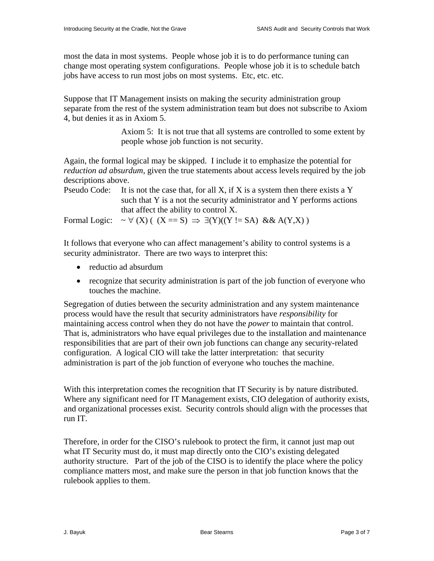most the data in most systems. People whose job it is to do performance tuning can change most operating system configurations. People whose job it is to schedule batch jobs have access to run most jobs on most systems. Etc, etc. etc.

Suppose that IT Management insists on making the security administration group separate from the rest of the system administration team but does not subscribe to Axiom 4, but denies it as in Axiom 5.

> Axiom 5: It is not true that all systems are controlled to some extent by people whose job function is not security.

Again, the formal logical may be skipped. I include it to emphasize the potential for *reduction ad absurdum*, given the true statements about access levels required by the job descriptions above.

```
Pseudo Code: It is not the case that, for all X, if X is a system then there exists a Y
     such that Y is a not the security administrator and Y performs actions 
     that affect the ability to control X.
```
Formal Logic:  $\sim \forall$  (X) ( (X == S)  $\Rightarrow \exists$  (Y)((Y != SA) && A(Y,X))

It follows that everyone who can affect management's ability to control systems is a security administrator. There are two ways to interpret this:

- reductio ad absurdum
- recognize that security administration is part of the job function of everyone who touches the machine.

Segregation of duties between the security administration and any system maintenance process would have the result that security administrators have *responsibility* for maintaining access control when they do not have the *power* to maintain that control. That is, administrators who have equal privileges due to the installation and maintenance responsibilities that are part of their own job functions can change any security-related configuration. A logical CIO will take the latter interpretation: that security administration is part of the job function of everyone who touches the machine.

With this interpretation comes the recognition that IT Security is by nature distributed. Where any significant need for IT Management exists, CIO delegation of authority exists, and organizational processes exist. Security controls should align with the processes that run IT.

Therefore, in order for the CISO's rulebook to protect the firm, it cannot just map out what IT Security must do, it must map directly onto the CIO's existing delegated authority structure. Part of the job of the CISO is to identify the place where the policy compliance matters most, and make sure the person in that job function knows that the rulebook applies to them.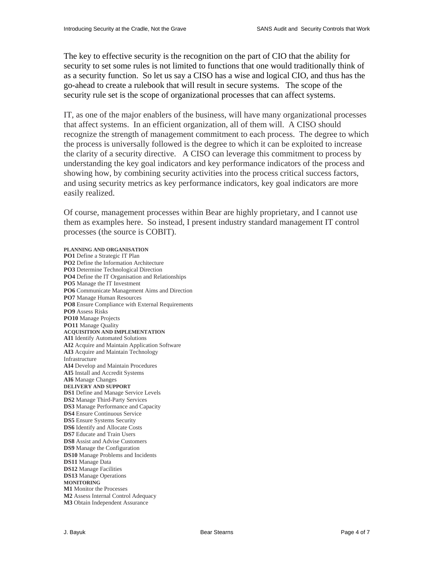The key to effective security is the recognition on the part of CIO that the ability for security to set some rules is not limited to functions that one would traditionally think of as a security function. So let us say a CISO has a wise and logical CIO, and thus has the go-ahead to create a rulebook that will result in secure systems. The scope of the security rule set is the scope of organizational processes that can affect systems.

IT, as one of the major enablers of the business, will have many organizational processes that affect systems. In an efficient organization, all of them will. A CISO should recognize the strength of management commitment to each process. The degree to which the process is universally followed is the degree to which it can be exploited to increase the clarity of a security directive. A CISO can leverage this commitment to process by understanding the key goal indicators and key performance indicators of the process and showing how, by combining security activities into the process critical success factors, and using security metrics as key performance indicators, key goal indicators are more easily realized.

Of course, management processes within Bear are highly proprietary, and I cannot use them as examples here. So instead, I present industry standard management IT control processes (the source is COBIT).

#### **PLANNING AND ORGANISATION**

**PO1** Define a Strategic IT Plan **PO2** Define the Information Architecture **PO3** Determine Technological Direction **PO4** Define the IT Organisation and Relationships **PO5** Manage the IT Investment **PO6** Communicate Management Aims and Direction **PO7** Manage Human Resources **PO8** Ensure Compliance with External Requirements **PO9** Assess Risks **PO10** Manage Projects **PO11** Manage Quality **ACQUISITION AND IMPLEMENTATION AI1** Identify Automated Solutions **AI2** Acquire and Maintain Application Software **AI3** Acquire and Maintain Technology Infrastructure **AI4** Develop and Maintain Procedures **AI5** Install and Accredit Systems **AI6** Manage Changes **DELIVERY AND SUPPORT DS1** Define and Manage Service Levels **DS2** Manage Third-Party Services **DS3** Manage Performance and Capacity **DS4** Ensure Continuous Service **DS5** Ensure Systems Security **DS6** Identify and Allocate Costs **DS7** Educate and Train Users **DS8** Assist and Advise Customers **DS9** Manage the Configuration **DS10** Manage Problems and Incidents **DS11** Manage Data **DS12** Manage Facilities **DS13** Manage Operations **MONITORING M1** Monitor the Processes **M2** Assess Internal Control Adequacy **M3** Obtain Independent Assurance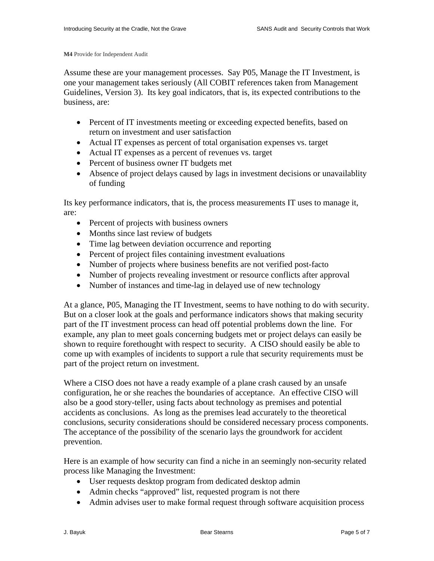**M4** Provide for Independent Audit

Assume these are your management processes. Say P05, Manage the IT Investment, is one your management takes seriously (All COBIT references taken from Management Guidelines, Version 3). Its key goal indicators, that is, its expected contributions to the business, are:

- Percent of IT investments meeting or exceeding expected benefits, based on return on investment and user satisfaction
- Actual IT expenses as percent of total organisation expenses vs. target
- Actual IT expenses as a percent of revenues vs. target
- Percent of business owner IT budgets met
- Absence of project delays caused by lags in investment decisions or unavailablity of funding

Its key performance indicators, that is, the process measurements IT uses to manage it, are:

- Percent of projects with business owners
- Months since last review of budgets
- Time lag between deviation occurrence and reporting
- Percent of project files containing investment evaluations
- Number of projects where business benefits are not verified post-facto
- Number of projects revealing investment or resource conflicts after approval
- Number of instances and time-lag in delayed use of new technology

At a glance, P05, Managing the IT Investment, seems to have nothing to do with security. But on a closer look at the goals and performance indicators shows that making security part of the IT investment process can head off potential problems down the line. For example, any plan to meet goals concerning budgets met or project delays can easily be shown to require forethought with respect to security. A CISO should easily be able to come up with examples of incidents to support a rule that security requirements must be part of the project return on investment.

Where a CISO does not have a ready example of a plane crash caused by an unsafe configuration, he or she reaches the boundaries of acceptance. An effective CISO will also be a good story-teller, using facts about technology as premises and potential accidents as conclusions. As long as the premises lead accurately to the theoretical conclusions, security considerations should be considered necessary process components. The acceptance of the possibility of the scenario lays the groundwork for accident prevention.

Here is an example of how security can find a niche in an seemingly non-security related process like Managing the Investment:

- User requests desktop program from dedicated desktop admin
- Admin checks "approved" list, requested program is not there
- Admin advises user to make formal request through software acquisition process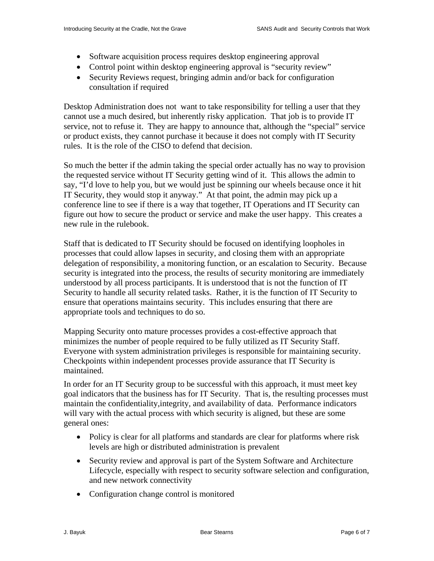- Software acquisition process requires desktop engineering approval
- Control point within desktop engineering approval is "security review"
- Security Reviews request, bringing admin and/or back for configuration consultation if required

Desktop Administration does not want to take responsibility for telling a user that they cannot use a much desired, but inherently risky application. That job is to provide IT service, not to refuse it. They are happy to announce that, although the "special" service or product exists, they cannot purchase it because it does not comply with IT Security rules. It is the role of the CISO to defend that decision.

So much the better if the admin taking the special order actually has no way to provision the requested service without IT Security getting wind of it. This allows the admin to say, "I'd love to help you, but we would just be spinning our wheels because once it hit IT Security, they would stop it anyway." At that point, the admin may pick up a conference line to see if there is a way that together, IT Operations and IT Security can figure out how to secure the product or service and make the user happy. This creates a new rule in the rulebook.

Staff that is dedicated to IT Security should be focused on identifying loopholes in processes that could allow lapses in security, and closing them with an appropriate delegation of responsibility, a monitoring function, or an escalation to Security. Because security is integrated into the process, the results of security monitoring are immediately understood by all process participants. It is understood that is not the function of IT Security to handle all security related tasks. Rather, it is the function of IT Security to ensure that operations maintains security. This includes ensuring that there are appropriate tools and techniques to do so.

Mapping Security onto mature processes provides a cost-effective approach that minimizes the number of people required to be fully utilized as IT Security Staff. Everyone with system administration privileges is responsible for maintaining security. Checkpoints within independent processes provide assurance that IT Security is maintained.

In order for an IT Security group to be successful with this approach, it must meet key goal indicators that the business has for IT Security. That is, the resulting processes must maintain the confidentiality,integrity, and availability of data. Performance indicators will vary with the actual process with which security is aligned, but these are some general ones:

- Policy is clear for all platforms and standards are clear for platforms where risk levels are high or distributed administration is prevalent
- Security review and approval is part of the System Software and Architecture Lifecycle, especially with respect to security software selection and configuration, and new network connectivity
- Configuration change control is monitored